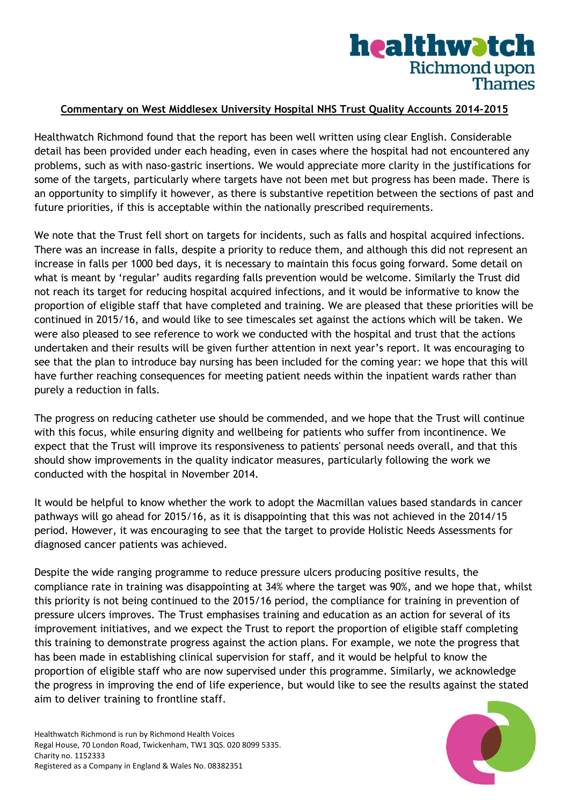## healthwatch **Richmond upon Thames**

## **Commentary on West Middlesex University Hospital NHS Trust Quality Accounts 2014-2015**

Healthwatch Richmond found that the report has been well written using clear English. Considerable detail has been provided under each heading, even in cases where the hospital had not encountered any problems, such as with naso-gastric insertions. We would appreciate more clarity in the justifications for some of the targets, particularly where targets have not been met but progress has been made. There is an opportunity to simplify it however, as there is substantive repetition between the sections of past and future priorities, if this is acceptable within the nationally prescribed requirements.

We note that the Trust fell short on targets for incidents, such as falls and hospital acquired infections. There was an increase in falls, despite a priority to reduce them, and although this did not represent an increase in falls per 1000 bed days, it is necessary to maintain this focus going forward. Some detail on what is meant by 'regular' audits regarding falls prevention would be welcome. Similarly the Trust did not reach its target for reducing hospital acquired infections, and it would be informative to know the proportion of eligible staff that have completed and training. We are pleased that these priorities will be continued in 2015/16, and would like to see timescales set against the actions which will be taken. We were also pleased to see reference to work we conducted with the hospital and trust that the actions undertaken and their results will be given further attention in next year's report. It was encouraging to see that the plan to introduce bay nursing has been included for the coming year: we hope that this will have further reaching consequences for meeting patient needs within the inpatient wards rather than purely a reduction in falls.

The progress on reducing catheter use should be commended, and we hope that the Trust will continue with this focus, while ensuring dignity and wellbeing for patients who suffer from incontinence. We expect that the Trust will improve its responsiveness to patients' personal needs overall, and that this should show improvements in the quality indicator measures, particularly following the work we conducted with the hospital in November 2014.

It would be helpful to know whether the work to adopt the Macmillan values based standards in cancer pathways will go ahead for 2015/16, as it is disappointing that this was not achieved in the 2014/15 period. However, it was encouraging to see that the target to provide Holistic Needs Assessments for diagnosed cancer patients was achieved.

Despite the wide ranging programme to reduce pressure ulcers producing positive results, the compliance rate in training was disappointing at 34% where the target was 90%, and we hope that, whilst this priority is not being continued to the 2015/16 period, the compliance for training in prevention of pressure ulcers improves. The Trust emphasises training and education as an action for several of its improvement initiatives, and we expect the Trust to report the proportion of eligible staff completing this training to demonstrate progress against the action plans. For example, we note the progress that has been made in establishing clinical supervision for staff, and it would be helpful to know the proportion of eligible staff who are now supervised under this programme. Similarly, we acknowledge the progress in improving the end of life experience, but would like to see the results against the stated aim to deliver training to frontline staff.